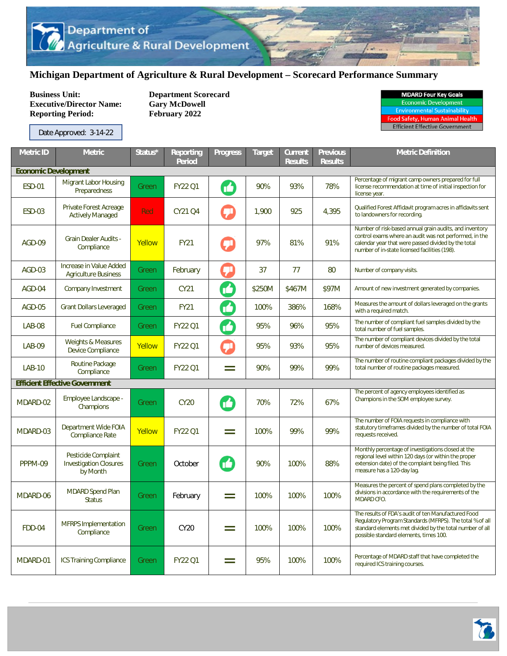## **Michigan Department of Agriculture & Rural Development – Scorecard Performance Summary**

**Business Unit:** Department Scorecard<br> **Executive/Director Name:** Gary McDowell **Executive/Director Name: Reporting Period: February 2022** 

| <b>MDARD Four Key Goals</b>         |  |  |  |  |  |  |
|-------------------------------------|--|--|--|--|--|--|
| <b>Economic Development</b>         |  |  |  |  |  |  |
| <b>Environmental Sustainability</b> |  |  |  |  |  |  |
| ood Safety, Human Animal Health     |  |  |  |  |  |  |

**Efficient Effective Government** 

Date Approved: 3-14-22

| <b>Metric ID</b>            | <b>Metric</b>                                                    | Status* | <b>Reporting</b><br><b>Period</b> | <b>Progress</b> | <b>Target</b> | <b>Current</b><br><b>Results</b> | <b>Previous</b><br><b>Results</b> | <b>Metric Definition</b>                                                                                                                                                                                                  |  |  |
|-----------------------------|------------------------------------------------------------------|---------|-----------------------------------|-----------------|---------------|----------------------------------|-----------------------------------|---------------------------------------------------------------------------------------------------------------------------------------------------------------------------------------------------------------------------|--|--|
| <b>Economic Development</b> |                                                                  |         |                                   |                 |               |                                  |                                   |                                                                                                                                                                                                                           |  |  |
| <b>ESD-01</b>               | <b>Migrant Labor Housing</b><br>Preparedness                     | Green   | <b>FY22 Q1</b>                    | M               | 90%           | 93%                              | 78%                               | Percentage of migrant camp owners prepared for full<br>license recommendation at time of initial inspection for<br>license year.                                                                                          |  |  |
| <b>ESD-03</b>               | Private Forest Acreage<br><b>Actively Managed</b>                | Red     | CY21 Q4                           | $\bm{\phi}$     | 1,900         | 925                              | 4,395                             | Qualified Forest Affidavit program acres in affidavits sent<br>to landowners for recording.                                                                                                                               |  |  |
| AGD-09                      | <b>Grain Dealer Audits -</b><br>Compliance                       | Yellow  | <b>FY21</b>                       |                 | 97%           | 81%                              | 91%                               | Number of risk-based annual grain audits, and inventory<br>control exams where an audit was not performed, in the<br>calendar year that were passed divided by the total<br>number of in-state licensed facilities (198). |  |  |
| AGD-03                      | Increase in Value Added<br><b>Agriculture Business</b>           | Green   | February                          | 卯               | 37            | 77                               | 80                                | Number of company visits.                                                                                                                                                                                                 |  |  |
| AGD-04                      | Company Investment                                               | Green   | CY21                              | ß               | \$250M        | \$467M                           | \$97M                             | Amount of new investment generated by companies.                                                                                                                                                                          |  |  |
| AGD-05                      | <b>Grant Dollars Leveraged</b>                                   | Green   | <b>FY21</b>                       | M               | 100%          | 386%                             | 168%                              | Measures the amount of dollars leveraged on the grants<br>with a required match.                                                                                                                                          |  |  |
| <b>LAB-08</b>               | <b>Fuel Compliance</b>                                           | Green   | <b>FY22 Q1</b>                    | M               | 95%           | 96%                              | 95%                               | The number of compliant fuel samples divided by the<br>total number of fuel samples.                                                                                                                                      |  |  |
| <b>LAB-09</b>               | <b>Weights &amp; Measures</b><br><b>Device Compliance</b>        | Yellow  | <b>FY22 Q1</b>                    | ர               | 95%           | 93%                              | 95%                               | The number of compliant devices divided by the total<br>number of devices measured.                                                                                                                                       |  |  |
| <b>LAB-10</b>               | Routine Package<br>Compliance                                    | Green   | <b>FY22 Q1</b>                    | $=$             | 90%           | 99%                              | 99%                               | The number of routine compliant packages divided by the<br>total number of routine packages measured.                                                                                                                     |  |  |
|                             | <b>Efficient Effective Government</b>                            |         |                                   |                 |               |                                  |                                   |                                                                                                                                                                                                                           |  |  |
| MDARD-02                    | Employee Landscape -<br>Champions                                | Green   | <b>CY20</b>                       | M               | 70%           | 72%                              | 67%                               | The percent of agency employees identified as<br>Champions in the SOM employee survey.                                                                                                                                    |  |  |
| MDARD-03                    | Department Wide FOIA<br><b>Compliance Rate</b>                   | Yellow  | <b>FY22 Q1</b>                    | $=$             | 100%          | 99%                              | 99%                               | The number of FOIA requests in compliance with<br>statutory timeframes divided by the number of total FOIA<br>requests received.                                                                                          |  |  |
| PPPM-09                     | Pesticide Complaint<br><b>Investigation Closures</b><br>by Month | Green   | October                           | ß               | 90%           | 100%                             | 88%                               | Monthly percentage of investigations closed at the<br>regional level within 120 days (or within the proper<br>extension date) of the complaint being filed. This<br>measure has a 120-day lag.                            |  |  |
| MDARD-06                    | <b>MDARD Spend Plan</b><br><b>Status</b>                         | Green   | February                          | $=$             | 100%          | 100%                             | 100%                              | Measures the percent of spend plans completed by the<br>divisions in accordance with the requirements of the<br>MDARD CFO.                                                                                                |  |  |
| FDD-04                      | <b>MFRPS</b> Implementation<br>Compliance                        | Green   | <b>CY20</b>                       | $=$             | 100%          | 100%                             | 100%                              | The results of FDA's audit of ten Manufactured Food<br>Regulatory Program Standards (MFRPS). The total % of all<br>standard elements met divided by the total number of all<br>possible standard elements, times 100.     |  |  |
| MDARD-01                    | <b>ICS Training Compliance</b>                                   | Green   | <b>FY22 Q1</b>                    | $=$             | 95%           | 100%                             | 100%                              | Percentage of MDARD staff that have completed the<br>required ICS training courses.                                                                                                                                       |  |  |